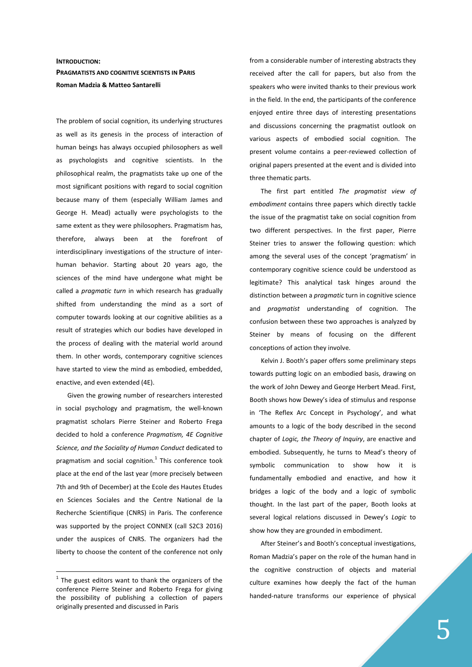## **INTRODUCTION: PRAGMATISTS AND COGNITIVE SCIENTISTS IN PARIS Roman Madzia & Matteo Santarelli**

The problem of social cognition, its underlying structures as well as its genesis in the process of interaction of human beings has always occupied philosophers as well as psychologists and cognitive scientists. In the philosophical realm, the pragmatists take up one of the most significant positions with regard to social cognition because many of them (especially William James and George H. Mead) actually were psychologists to the same extent as they were philosophers. Pragmatism has, therefore, always been at the forefront of interdisciplinary investigations of the structure of interhuman behavior. Starting about 20 years ago, the sciences of the mind have undergone what might be called a *pragmatic turn* in which research has gradually shifted from understanding the mind as a sort of computer towards looking at our cognitive abilities as a result of strategies which our bodies have developed in the process of dealing with the material world around them. In other words, contemporary cognitive sciences have started to view the mind as embodied, embedded, enactive, and even extended (4E).

Given the growing number of researchers interested in social psychology and pragmatism, the well-known pragmatist scholars Pierre Steiner and Roberto Frega decided to hold a conference *Pragmatism, 4E Cognitive Science, and the Sociality of Human Conduct* dedicated to pragmatism and social cognition. $1$  This conference took place at the end of the last year (more precisely between 7th and 9th of December) at the Ecole des Hautes Etudes en Sciences Sociales and the Centre National de la Recherche Scientifique (CNRS) in Paris. The conference was supported by the project CONNEX (call S2C3 2016) under the auspices of CNRS. The organizers had the liberty to choose the content of the conference not only

 $1$  The guest editors want to thank the organizers of the conference Pierre Steiner and Roberto Frega for giving the possibility of publishing a collection of papers originally presented and discussed in Paris

 $\overline{a}$ 

from a considerable number of interesting abstracts they received after the call for papers, but also from the speakers who were invited thanks to their previous work in the field. In the end, the participants of the conference enjoyed entire three days of interesting presentations and discussions concerning the pragmatist outlook on various aspects of embodied social cognition. The present volume contains a peer-reviewed collection of original papers presented at the event and is divided into three thematic parts.

The first part entitled *The pragmatist view of embodiment* contains three papers which directly tackle the issue of the pragmatist take on social cognition from two different perspectives. In the first paper, Pierre Steiner tries to answer the following question: which among the several uses of the concept 'pragmatism' in contemporary cognitive science could be understood as legitimate? This analytical task hinges around the distinction between a *pragmatic* turn in cognitive science and *pragmatist* understanding of cognition. The confusion between these two approaches is analyzed by Steiner by means of focusing on the different conceptions of action they involve.

Kelvin J. Booth's paper offers some preliminary steps towards putting logic on an embodied basis, drawing on the work of John Dewey and George Herbert Mead. First, Booth shows how Dewey's idea of stimulus and response in 'The Reflex Arc Concept in Psychology', and what amounts to a logic of the body described in the second chapter of *Logic, the Theory of Inquiry*, are enactive and embodied. Subsequently, he turns to Mead's theory of symbolic communication to show how it is fundamentally embodied and enactive, and how it bridges a logic of the body and a logic of symbolic thought. In the last part of the paper, Booth looks at several logical relations discussed in Dewey's *Logic* to show how they are grounded in embodiment.

After Steiner's and Booth's conceptual investigations, Roman Madzia's paper on the role of the human hand in the cognitive construction of objects and material culture examines how deeply the fact of the human handed-nature transforms our experience of physical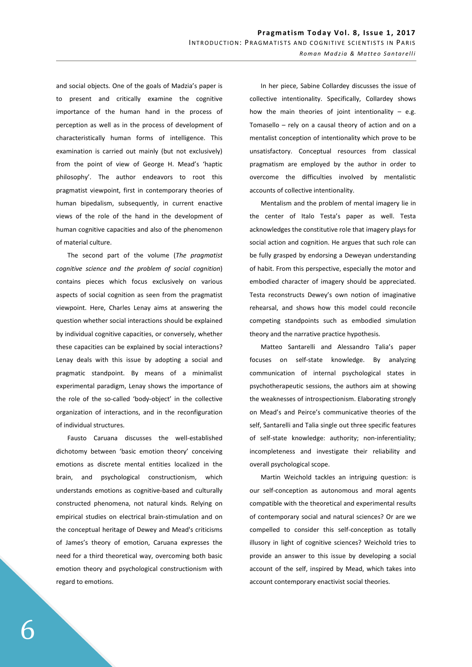and social objects. One of the goals of Madzia's paper is to present and critically examine the cognitive importance of the human hand in the process of perception as well as in the process of development of characteristically human forms of intelligence. This examination is carried out mainly (but not exclusively) from the point of view of George H. Mead's 'haptic philosophy'. The author endeavors to root this pragmatist viewpoint, first in contemporary theories of human bipedalism, subsequently, in current enactive views of the role of the hand in the development of human cognitive capacities and also of the phenomenon of material culture.

The second part of the volume (*The pragmatist cognitive science and the problem of social cognition*) contains pieces which focus exclusively on various aspects of social cognition as seen from the pragmatist viewpoint. Here, Charles Lenay aims at answering the question whether social interactions should be explained by individual cognitive capacities, or conversely, whether these capacities can be explained by social interactions? Lenay deals with this issue by adopting a social and pragmatic standpoint. By means of a minimalist experimental paradigm, Lenay shows the importance of the role of the so-called 'body-object' in the collective organization of interactions, and in the reconfiguration of individual structures.

Fausto Caruana discusses the well-established dichotomy between 'basic emotion theory' conceiving emotions as discrete mental entities localized in the brain, and psychological constructionism, which understands emotions as cognitive-based and culturally constructed phenomena, not natural kinds. Relying on empirical studies on electrical brain-stimulation and on the conceptual heritage of Dewey and Mead's criticisms of James's theory of emotion, Caruana expresses the need for a third theoretical way, overcoming both basic emotion theory and psychological constructionism with regard to emotions.

In her piece, Sabine Collardey discusses the issue of collective intentionality. Specifically, Collardey shows how the main theories of joint intentionality  $-$  e.g. Tomasello – rely on a causal theory of action and on a mentalist conception of intentionality which prove to be unsatisfactory. Conceptual resources from classical pragmatism are employed by the author in order to overcome the difficulties involved by mentalistic accounts of collective intentionality.

Mentalism and the problem of mental imagery lie in the center of Italo Testa's paper as well. Testa acknowledges the constitutive role that imagery plays for social action and cognition. He argues that such role can be fully grasped by endorsing a Deweyan understanding of habit. From this perspective, especially the motor and embodied character of imagery should be appreciated. Testa reconstructs Dewey's own notion of imaginative rehearsal, and shows how this model could reconcile competing standpoints such as embodied simulation theory and the narrative practice hypothesis.

Matteo Santarelli and Alessandro Talia's paper focuses on self-state knowledge. By analyzing communication of internal psychological states in psychotherapeutic sessions, the authors aim at showing the weaknesses of introspectionism. Elaborating strongly on Mead's and Peirce's communicative theories of the self, Santarelli and Talia single out three specific features of self-state knowledge: authority; non-inferentiality; incompleteness and investigate their reliability and overall psychological scope.

Martin Weichold tackles an intriguing question: is our self-conception as autonomous and moral agents compatible with the theoretical and experimental results of contemporary social and natural sciences? Or are we compelled to consider this self-conception as totally illusory in light of cognitive sciences? Weichold tries to provide an answer to this issue by developing a social account of the self, inspired by Mead, which takes into account contemporary enactivist social theories.